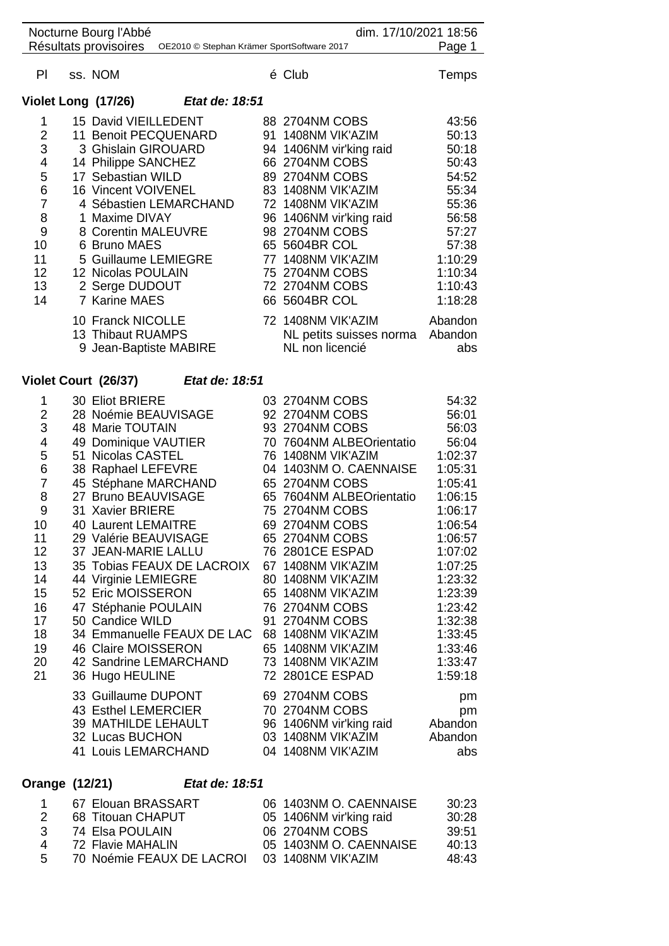|                | Nocturne Bourg l'Abbé                    |                                            | dim. 17/10/2021 18:56    |         |
|----------------|------------------------------------------|--------------------------------------------|--------------------------|---------|
|                | Résultats provisoires                    | OE2010 © Stephan Krämer SportSoftware 2017 |                          | Page 1  |
| PI             | ss. NOM                                  |                                            | é Club                   | Temps   |
|                | Violet Long (17/26)                      | <i>Etat de: 18:51</i>                      |                          |         |
| 1              | 15 David VIEILLEDENT                     |                                            | 88 2704NM COBS           | 43:56   |
| $\overline{2}$ | 11 Benoit PECQUENARD                     |                                            | 91 1408NM VIK'AZIM       | 50:13   |
| 3              | 3 Ghislain GIROUARD                      |                                            | 94 1406NM vir'king raid  | 50:18   |
| 4              | 14 Philippe SANCHEZ                      |                                            | 66 2704NM COBS           | 50:43   |
| 5              | 17 Sebastian WILD                        |                                            | 89 2704NM COBS           | 54:52   |
| 6              | 16 Vincent VOIVENEL                      |                                            | 83 1408NM VIK'AZIM       | 55:34   |
| $\overline{7}$ |                                          | 4 Sébastien LEMARCHAND                     | 72 1408NM VIK'AZIM       | 55:36   |
| 8              | 1 Maxime DIVAY                           |                                            | 96 1406NM vir'king raid  | 56:58   |
| 9              | 8 Corentin MALEUVRE                      |                                            | 98 2704NM COBS           | 57:27   |
| 10             | 6 Bruno MAES                             |                                            | 65 5604BR COL            | 57:38   |
| 11             | 5 Guillaume LEMIEGRE                     |                                            | 77 1408NM VIK'AZIM       | 1:10:29 |
| 12             | 12 Nicolas POULAIN                       |                                            | 75 2704NM COBS           | 1:10:34 |
| 13             | 2 Serge DUDOUT                           |                                            | 72 2704NM COBS           | 1:10:43 |
| 14             | 7 Karine MAES                            |                                            | 66 5604BR COL            | 1:18:28 |
|                | 10 Franck NICOLLE                        |                                            | 72 1408NM VIK'AZIM       | Abandon |
|                | 13 Thibaut RUAMPS                        |                                            | NL petits suisses norma  | Abandon |
|                | 9 Jean-Baptiste MABIRE                   |                                            | NL non licencié          | abs     |
|                | Violet Court (26/37)                     | Etat de: 18:51                             |                          |         |
| 1              | 30 Eliot BRIERE                          |                                            | 03 2704NM COBS           | 54:32   |
| $\overline{2}$ |                                          |                                            | 92 2704NM COBS           | 56:01   |
| 3              | 28 Noémie BEAUVISAGE<br>48 Marie TOUTAIN |                                            | 93 2704NM COBS           | 56:03   |
| $\overline{4}$ | 49 Dominique VAUTIER                     |                                            | 70 7604NM ALBEOrientatio | 56:04   |
| $\sqrt{2}$     | 51 Nicolas CASTEL                        |                                            | 76 1408NM VIK'AZIM       | 1.02.37 |

| 4              | 49 DOMINIQUE VAUTIER       | TU TOU4INIVI ALDEVIIBIILALIU | <b>00.04</b> |
|----------------|----------------------------|------------------------------|--------------|
| 5              | 51 Nicolas CASTEL          | 76 1408NM VIK'AZIM           | 1:02:37      |
| 6              | 38 Raphael LEFEVRE         | 04 1403NM O. CAENNAISE       | 1:05:31      |
| $\overline{7}$ | 45 Stéphane MARCHAND       | 65 2704NM COBS               | 1:05:41      |
| 8              | 27 Bruno BEAUVISAGE        | 65 7604NM ALBEOrientatio     | 1:06:15      |
| 9              | 31 Xavier BRIERE           | 75 2704NM COBS               | 1:06:17      |
| 10             | 40 Laurent LEMAITRE        | 69 2704NM COBS               | 1:06:54      |
| 11             | 29 Valérie BEAUVISAGE      | 65 2704NM COBS               | 1:06:57      |
| 12             | 37 JEAN-MARIE LALLU        | 76 2801CE ESPAD              | 1:07:02      |
| 13             | 35 Tobias FEAUX DE LACROIX | 67 1408NM VIK'AZIM           | 1:07:25      |
| 14             | 44 Virginie LEMIEGRE       | 80 1408NM VIK'AZIM           | 1:23:32      |
| 15             | 52 Eric MOISSERON          | 65 1408NM VIK'AZIM           | 1:23:39      |
| 16             | 47 Stéphanie POULAIN       | 76 2704NM COBS               | 1:23:42      |
| 17             | 50 Candice WILD            | 91 2704NM COBS               | 1:32:38      |
| 18             | 34 Emmanuelle FEAUX DE LAC | 68 1408NM VIK'AZIM           | 1:33:45      |
| 19             | 46 Claire MOISSERON        | 65 1408NM VIK'AZIM           | 1:33:46      |
| 20             | 42 Sandrine LEMARCHAND     | 73 1408NM VIK'AZIM           | 1:33:47      |
| 21             | 36 Hugo HEULINE            | 72 2801CE ESPAD              | 1:59:18      |
|                | 33 Guillaume DUPONT        | 69 2704NM COBS               | pm           |
|                | 43 Esthel LEMERCIER        | 70 2704NM COBS               | pm           |
|                | 39 MATHILDE LEHAULT        | 96 1406NM vir'king raid      | Abandon      |
|                | 32 Lucas BUCHON            | 03 1408NM VIK'AZIM           | Abandon      |
|                | 41 Louis LEMARCHAND        | 04 1408NM VIK'AZIM           | abs          |
|                |                            |                              |              |

## **Orange (12/21)** *Etat de: 18:51*

| $\overline{1}$ | 67 Elouan BRASSART        | 06 1403NM O. CAENNAISE  | 30:23 |
|----------------|---------------------------|-------------------------|-------|
| 2              | 68 Titouan CHAPUT         | 05 1406NM vir'king raid | 30:28 |
| -3             | 74 Elsa POULAIN           | 06 2704NM COBS          | 39.51 |
| 4              | 72 Flavie MAHALIN         | 05 1403NM O. CAENNAISE  | 40:13 |
| .5             | 70 Noémie FEAUX DE LACROI | 03 1408NM VIK'AZIM      | 48:43 |